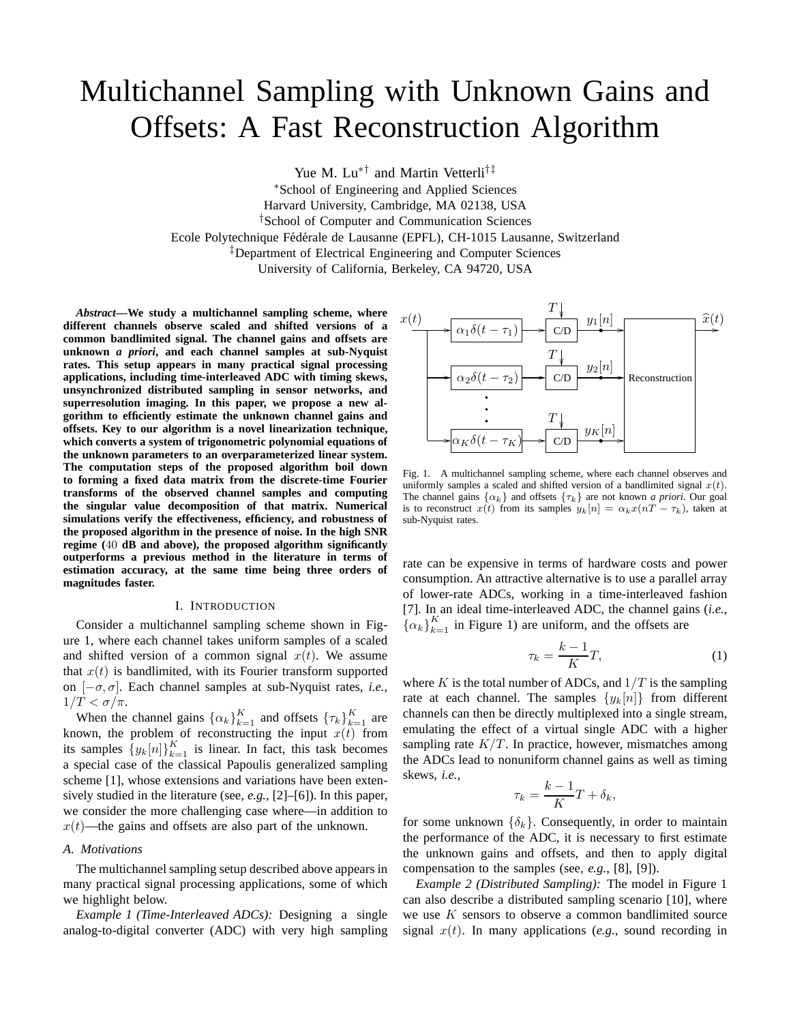# Multichannel Sampling with Unknown Gains and Offsets: A Fast Reconstruction Algorithm

Yue M. Lu∗† and Martin Vetterli†‡

<sup>∗</sup>School of Engineering and Applied Sciences Harvard University, Cambridge, MA 02138, USA †School of Computer and Communication Sciences Ecole Polytechnique Fédérale de Lausanne (EPFL), CH-1015 Lausanne, Switzerland ‡Department of Electrical Engineering and Computer Sciences University of California, Berkeley, CA 94720, USA

*Abstract***—We study a multichannel sampling scheme, where different channels observe scaled and shifted versions of a common bandlimited signal. The channel gains and offsets are unknown** *a priori***, and each channel samples at sub-Nyquist rates. This setup appears in many practical signal processing applications, including time-interleaved ADC with timing skews, unsynchronized distributed sampling in sensor networks, and superresolution imaging. In this paper, we propose a new algorithm to efficiently estimate the unknown channel gains and offsets. Key to our algorithm is a novel linearization technique, which converts a system of trigonometric polynomial equations of the unknown parameters to an overparameterized linear system. The computation steps of the proposed algorithm boil down to forming a fixed data matrix from the discrete-time Fourier transforms of the observed channel samples and computing the singular value decomposition of that matrix. Numerical simulations verify the effectiveness, efficiency, and robustness of the proposed algorithm in the presence of noise. In the high SNR regime (**40 **dB and above), the proposed algorithm significantly outperforms a previous method in the literature in terms of estimation accuracy, at the same time being three orders of magnitudes faster.**

#### I. INTRODUCTION

Consider a multichannel sampling scheme shown in Figure 1, where each channel takes uniform samples of a scaled and shifted version of a common signal  $x(t)$ . We assume that  $x(t)$  is bandlimited, with its Fourier transform supported on [−σ, σ]. Each channel samples at sub-Nyquist rates, *i.e.*,  $1/T < \sigma/\pi$ .

When the channel gains  $\{\alpha_k\}_{k=1}^K$  and offsets  $\{\tau_k\}_{k=1}^K$  are known, the problem of reconstructing the input  $x(t)$  from its samples  $\{y_k[n]\}_{k=1}^K$  is linear. In fact, this task becomes a special case of the classical Papoulis generalized sampling scheme [1], whose extensions and variations have been extensively studied in the literature (see, *e.g.*, [2]–[6]). In this paper, we consider the more challenging case where—in addition to  $x(t)$ —the gains and offsets are also part of the unknown.

#### *A. Motivations*

The multichannel sampling setup described above appears in many practical signal processing applications, some of which we highlight below.

*Example 1 (Time-Interleaved ADCs):* Designing a single analog-to-digital converter (ADC) with very high sampling



Fig. 1. A multichannel sampling scheme, where each channel observes and uniformly samples a scaled and shifted version of a bandlimited signal  $x(t)$ . The channel gains  $\{\alpha_k\}$  and offsets  $\{\tau_k\}$  are not known *a priori*. Our goal is to reconstruct  $x(t)$  from its samples  $y_k[n] = \alpha_k x(nT - \tau_k)$ , taken at sub-Nyquist rates.

rate can be expensive in terms of hardware costs and power consumption. An attractive alternative is to use a parallel array of lower-rate ADCs, working in a time-interleaved fashion [7]. In an ideal time-interleaved ADC, the channel gains (*i.e.*,  ${\{\alpha_k\}}_{k=1}^K$  in Figure 1) are uniform, and the offsets are

$$
\tau_k = \frac{k-1}{K}T,\tag{1}
$$

where K is the total number of ADCs, and  $1/T$  is the sampling rate at each channel. The samples  $\{y_k[n]\}$  from different channels can then be directly multiplexed into a single stream, emulating the effect of a virtual single ADC with a higher sampling rate  $K/T$ . In practice, however, mismatches among the ADCs lead to nonuniform channel gains as well as timing skews, *i.e.*,

$$
\tau_k = \frac{k-1}{K}T + \delta_k,
$$

for some unknown  $\{\delta_k\}$ . Consequently, in order to maintain the performance of the ADC, it is necessary to first estimate the unknown gains and offsets, and then to apply digital compensation to the samples (see, *e.g.*, [8], [9]).

*Example 2 (Distributed Sampling):* The model in Figure 1 can also describe a distributed sampling scenario [10], where we use  $K$  sensors to observe a common bandlimited source signal  $x(t)$ . In many applications (*e.g.*, sound recording in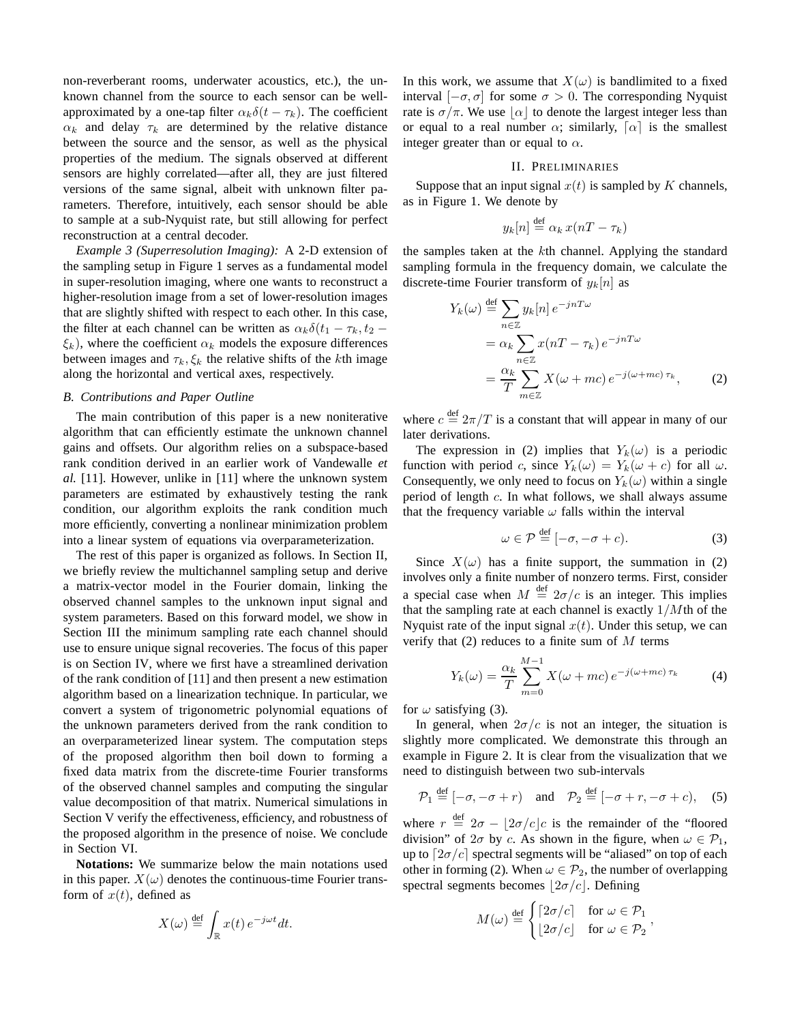non-reverberant rooms, underwater acoustics, etc.), the unknown channel from the source to each sensor can be wellapproximated by a one-tap filter  $\alpha_k \delta(t - \tau_k)$ . The coefficient  $\alpha_k$  and delay  $\tau_k$  are determined by the relative distance between the source and the sensor, as well as the physical properties of the medium. The signals observed at different sensors are highly correlated—after all, they are just filtered versions of the same signal, albeit with unknown filter parameters. Therefore, intuitively, each sensor should be able to sample at a sub-Nyquist rate, but still allowing for perfect reconstruction at a central decoder.

*Example 3 (Superresolution Imaging):* A 2-D extension of the sampling setup in Figure 1 serves as a fundamental model in super-resolution imaging, where one wants to reconstruct a higher-resolution image from a set of lower-resolution images that are slightly shifted with respect to each other. In this case, the filter at each channel can be written as  $\alpha_k \delta(t_1 - \tau_k, t_2 \xi_k$ ), where the coefficient  $\alpha_k$  models the exposure differences between images and  $\tau_k, \xi_k$  the relative shifts of the kth image along the horizontal and vertical axes, respectively.

# *B. Contributions and Paper Outline*

The main contribution of this paper is a new noniterative algorithm that can efficiently estimate the unknown channel gains and offsets. Our algorithm relies on a subspace-based rank condition derived in an earlier work of Vandewalle *et al.* [11]. However, unlike in [11] where the unknown system parameters are estimated by exhaustively testing the rank condition, our algorithm exploits the rank condition much more efficiently, converting a nonlinear minimization problem into a linear system of equations via overparameterization.

The rest of this paper is organized as follows. In Section II, we briefly review the multichannel sampling setup and derive a matrix-vector model in the Fourier domain, linking the observed channel samples to the unknown input signal and system parameters. Based on this forward model, we show in Section III the minimum sampling rate each channel should use to ensure unique signal recoveries. The focus of this paper is on Section IV, where we first have a streamlined derivation of the rank condition of [11] and then present a new estimation algorithm based on a linearization technique. In particular, we convert a system of trigonometric polynomial equations of the unknown parameters derived from the rank condition to an overparameterized linear system. The computation steps of the proposed algorithm then boil down to forming a fixed data matrix from the discrete-time Fourier transforms of the observed channel samples and computing the singular value decomposition of that matrix. Numerical simulations in Section V verify the effectiveness, efficiency, and robustness of the proposed algorithm in the presence of noise. We conclude in Section VI.

**Notations:** We summarize below the main notations used in this paper.  $X(\omega)$  denotes the continuous-time Fourier transform of  $x(t)$ , defined as

$$
X(\omega) \stackrel{\text{def}}{=} \int_{\mathbb{R}} x(t) e^{-j\omega t} dt.
$$

In this work, we assume that  $X(\omega)$  is bandlimited to a fixed interval  $[-\sigma, \sigma]$  for some  $\sigma > 0$ . The corresponding Nyquist rate is  $\sigma/\pi$ . We use  $|\alpha|$  to denote the largest integer less than or equal to a real number  $\alpha$ ; similarly,  $\lceil \alpha \rceil$  is the smallest integer greater than or equal to  $\alpha$ .

#### II. PRELIMINARIES

Suppose that an input signal  $x(t)$  is sampled by K channels, as in Figure 1. We denote by

$$
y_k[n] \stackrel{\text{def}}{=} \alpha_k x(nT - \tau_k)
$$

the samples taken at the kth channel. Applying the standard sampling formula in the frequency domain, we calculate the discrete-time Fourier transform of  $y_k[n]$  as

$$
Y_k(\omega) \stackrel{\text{def}}{=} \sum_{n \in \mathbb{Z}} y_k[n] e^{-jnT\omega}
$$
  
=  $\alpha_k \sum_{n \in \mathbb{Z}} x(nT - \tau_k) e^{-jnT\omega}$   
=  $\frac{\alpha_k}{T} \sum_{m \in \mathbb{Z}} X(\omega + mc) e^{-j(\omega + mc) \tau_k}$ , (2)

where  $c \stackrel{\text{def}}{=} 2\pi/T$  is a constant that will appear in many of our later derivations.

The expression in (2) implies that  $Y_k(\omega)$  is a periodic function with period c, since  $Y_k(\omega) = Y_k(\omega + c)$  for all  $\omega$ . Consequently, we only need to focus on  $Y_k(\omega)$  within a single period of length c. In what follows, we shall always assume that the frequency variable  $\omega$  falls within the interval

$$
\omega \in \mathcal{P} \stackrel{\text{def}}{=} [-\sigma, -\sigma + c). \tag{3}
$$

Since  $X(\omega)$  has a finite support, the summation in (2) involves only a finite number of nonzero terms. First, consider a special case when  $M \stackrel{\text{def}}{=} 2\sigma/c$  is an integer. This implies that the sampling rate at each channel is exactly  $1/M$ th of the Nyquist rate of the input signal  $x(t)$ . Under this setup, we can verify that (2) reduces to a finite sum of  $M$  terms

$$
Y_k(\omega) = \frac{\alpha_k}{T} \sum_{m=0}^{M-1} X(\omega + mc) e^{-j(\omega + mc)\tau_k}
$$
 (4)

for  $\omega$  satisfying (3).

In general, when  $2\sigma/c$  is not an integer, the situation is slightly more complicated. We demonstrate this through an example in Figure 2. It is clear from the visualization that we need to distinguish between two sub-intervals

$$
\mathcal{P}_1 \stackrel{\text{def}}{=} [-\sigma, -\sigma + r) \quad \text{and} \quad \mathcal{P}_2 \stackrel{\text{def}}{=} [-\sigma + r, -\sigma + c), \quad (5)
$$

where  $r \stackrel{\text{def}}{=} 2\sigma - \lfloor 2\sigma/c \rfloor c$  is the remainder of the "floored division" of  $2\sigma$  by c. As shown in the figure, when  $\omega \in \mathcal{P}_1$ , up to  $\left[2\sigma/c\right]$  spectral segments will be "aliased" on top of each other in forming (2). When  $\omega \in \mathcal{P}_2$ , the number of overlapping spectral segments becomes  $|2\sigma/c|$ . Defining

$$
M(\omega) \stackrel{\text{def}}{=} \begin{cases} \lceil 2\sigma/c \rceil & \text{for } \omega \in \mathcal{P}_1 \\ \lfloor 2\sigma/c \rfloor & \text{for } \omega \in \mathcal{P}_2 \end{cases}
$$

,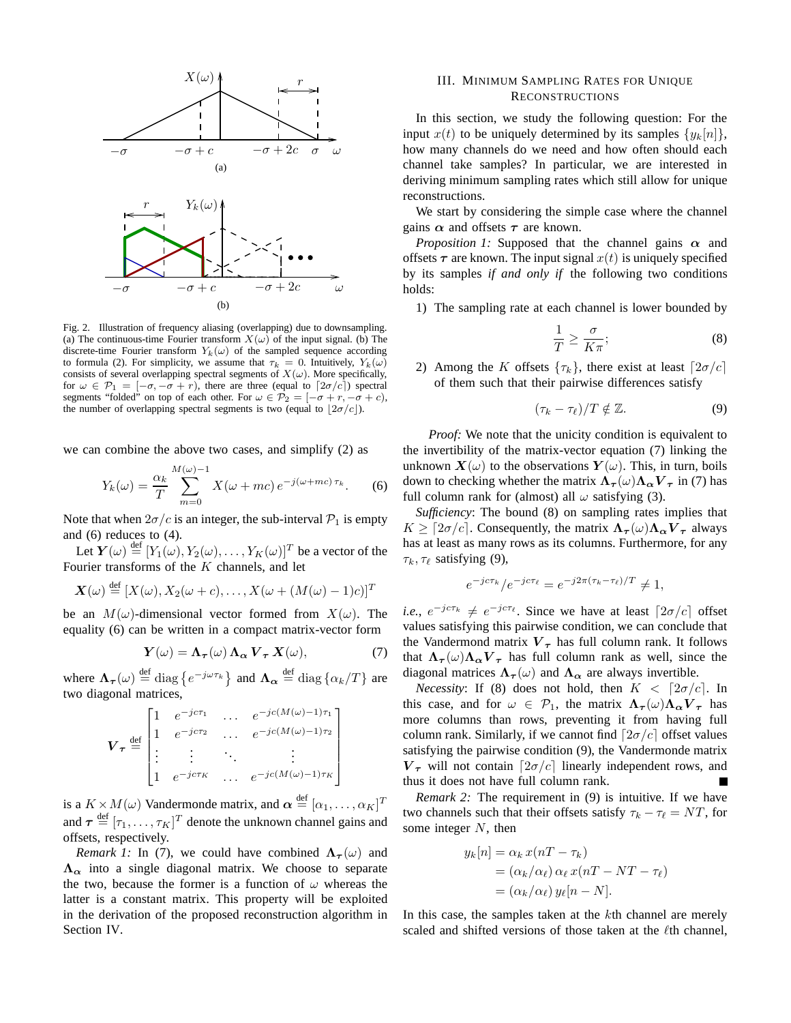

Fig. 2. Illustration of frequency aliasing (overlapping) due to downsampling. (a) The continuous-time Fourier transform  $X(\omega)$  of the input signal. (b) The discrete-time Fourier transform  $Y_k(\omega)$  of the sampled sequence according to formula (2). For simplicity, we assume that  $\tau_k = 0$ . Intuitively,  $Y_k(\omega)$ consists of several overlapping spectral segments of  $X(\omega)$ . More specifically, for  $\omega \in \mathcal{P}_1 = [-\sigma, -\sigma + r]$ , there are three (equal to  $[2\sigma/c]$ ) spectral segments "folded" on top of each other. For  $\omega \in \mathcal{P}_2 = [-\sigma + r, -\sigma + c)$ , the number of overlapping spectral segments is two (equal to  $\lfloor 2\sigma/c \rfloor$ ).

we can combine the above two cases, and simplify (2) as

and a state

$$
Y_k(\omega) = \frac{\alpha_k}{T} \sum_{m=0}^{M(\omega)-1} X(\omega + mc) \, e^{-j(\omega + mc) \, \tau_k}.\tag{6}
$$

Note that when  $2\sigma/c$  is an integer, the sub-interval  $P_1$  is empty and (6) reduces to (4).

Let  $\boldsymbol{Y}(\omega) \stackrel{\text{def}}{=} [Y_1(\omega), Y_2(\omega), \dots, Y_K(\omega)]^T$  be a vector of the Fourier transforms of the  $K$  channels, and let

$$
\mathbf{X}(\omega) \stackrel{\text{def}}{=} [X(\omega), X_2(\omega + c), \dots, X(\omega + (M(\omega) - 1)c)]^T
$$

be an  $M(\omega)$ -dimensional vector formed from  $X(\omega)$ . The equality (6) can be written in a compact matrix-vector form

$$
Y(\omega) = \Lambda_{\tau}(\omega) \Lambda_{\alpha} V_{\tau} X(\omega), \tag{7}
$$

where  $\Lambda_{\tau}(\omega) \stackrel{\text{def}}{=} \text{diag} \left\{ e^{-j\omega\tau_k} \right\}$  and  $\Lambda_{\alpha} \stackrel{\text{def}}{=} \text{diag} \left\{ \alpha_k/T \right\}$  are two diagonal matrices,

$$
\boldsymbol{V}_{\tau} \stackrel{\text{def}}{=} \begin{bmatrix} 1 & e^{-jc\tau_1} & \cdots & e^{-jc(M(\omega)-1)\tau_1} \\ 1 & e^{-j c\tau_2} & \cdots & e^{-jc(M(\omega)-1)\tau_2} \\ \vdots & \vdots & \ddots & \vdots \\ 1 & e^{-j c\tau_K} & \cdots & e^{-jc(M(\omega)-1)\tau_K} \end{bmatrix}
$$

is a  $K \times M(\omega)$  Vandermonde matrix, and  $\boldsymbol{\alpha} \stackrel{\text{def}}{=} [\alpha_1, \dots, \alpha_K]^T$ and  $\tau \stackrel{\text{def}}{=} [\tau_1, \ldots, \tau_K]^T$  denote the unknown channel gains and offsets, respectively.

*Remark 1:* In (7), we could have combined  $\Lambda_{\tau}(\omega)$  and  $\Lambda_{\alpha}$  into a single diagonal matrix. We choose to separate the two, because the former is a function of  $\omega$  whereas the latter is a constant matrix. This property will be exploited in the derivation of the proposed reconstruction algorithm in Section IV.

# III. MINIMUM SAMPLING RATES FOR UNIQUE RECONSTRUCTIONS

In this section, we study the following question: For the input  $x(t)$  to be uniquely determined by its samples  $\{y_k[n]\},\$ how many channels do we need and how often should each channel take samples? In particular, we are interested in deriving minimum sampling rates which still allow for unique reconstructions.

We start by considering the simple case where the channel gains  $\alpha$  and offsets  $\tau$  are known.

*Proposition 1:* Supposed that the channel gains  $\alpha$  and offsets  $\tau$  are known. The input signal  $x(t)$  is uniquely specified by its samples *if and only if* the following two conditions holds:

1) The sampling rate at each channel is lower bounded by

$$
\frac{1}{T} \ge \frac{\sigma}{K\pi};\tag{8}
$$

2) Among the K offsets  $\{\tau_k\}$ , there exist at least  $[2\sigma/c]$ of them such that their pairwise differences satisfy

$$
(\tau_k - \tau_\ell)/T \notin \mathbb{Z}.\tag{9}
$$

*Proof:* We note that the unicity condition is equivalent to the invertibility of the matrix-vector equation (7) linking the unknown  $X(\omega)$  to the observations  $Y(\omega)$ . This, in turn, boils down to checking whether the matrix  $\Lambda_{\tau}(\omega)\Lambda_{\alpha}V_{\tau}$  in (7) has full column rank for (almost) all  $\omega$  satisfying (3).

*Sufficiency*: The bound (8) on sampling rates implies that  $K > [2\sigma/c]$ . Consequently, the matrix  $\Lambda_{\tau}(\omega) \Lambda_{\alpha} V_{\tau}$  always has at least as many rows as its columns. Furthermore, for any  $\tau_k$ ,  $\tau_\ell$  satisfying (9),

$$
e^{-j c \tau_k}/e^{-j c \tau_\ell} = e^{-j 2\pi (\tau_k - \tau_\ell)/T} \neq 1,
$$

*i.e.*,  $e^{-j c \tau_k} \neq e^{-j c \tau_\ell}$ . Since we have at least  $[2\sigma/c]$  offset values satisfying this pairwise condition, we can conclude that the Vandermond matrix  $V_{\tau}$  has full column rank. It follows that  $\Lambda_{\tau}(\omega)\Lambda_{\alpha}V_{\tau}$  has full column rank as well, since the diagonal matrices  $\Lambda_{\tau}(\omega)$  and  $\Lambda_{\alpha}$  are always invertible.

*Necessity*: If (8) does not hold, then  $K < \lceil 2\sigma/c \rceil$ . In this case, and for  $\omega \in \mathcal{P}_1$ , the matrix  $\Lambda_\tau(\omega) \Lambda_\alpha V_\tau$  has more columns than rows, preventing it from having full column rank. Similarly, if we cannot find  $[2\sigma/c]$  offset values satisfying the pairwise condition (9), the Vandermonde matrix  $V_{\tau}$  will not contain  $[2\sigma/c]$  linearly independent rows, and thus it does not have full column rank.

*Remark 2:* The requirement in (9) is intuitive. If we have two channels such that their offsets satisfy  $\tau_k - \tau_\ell = NT$ , for some integer  $N$ , then

$$
y_k[n] = \alpha_k x(nT - \tau_k)
$$
  
=  $(\alpha_k/\alpha_\ell) \alpha_\ell x(nT - NT - \tau_\ell)$   
=  $(\alpha_k/\alpha_\ell) y_\ell[n - N].$ 

In this case, the samples taken at the kth channel are merely scaled and shifted versions of those taken at the  $\ell$ th channel,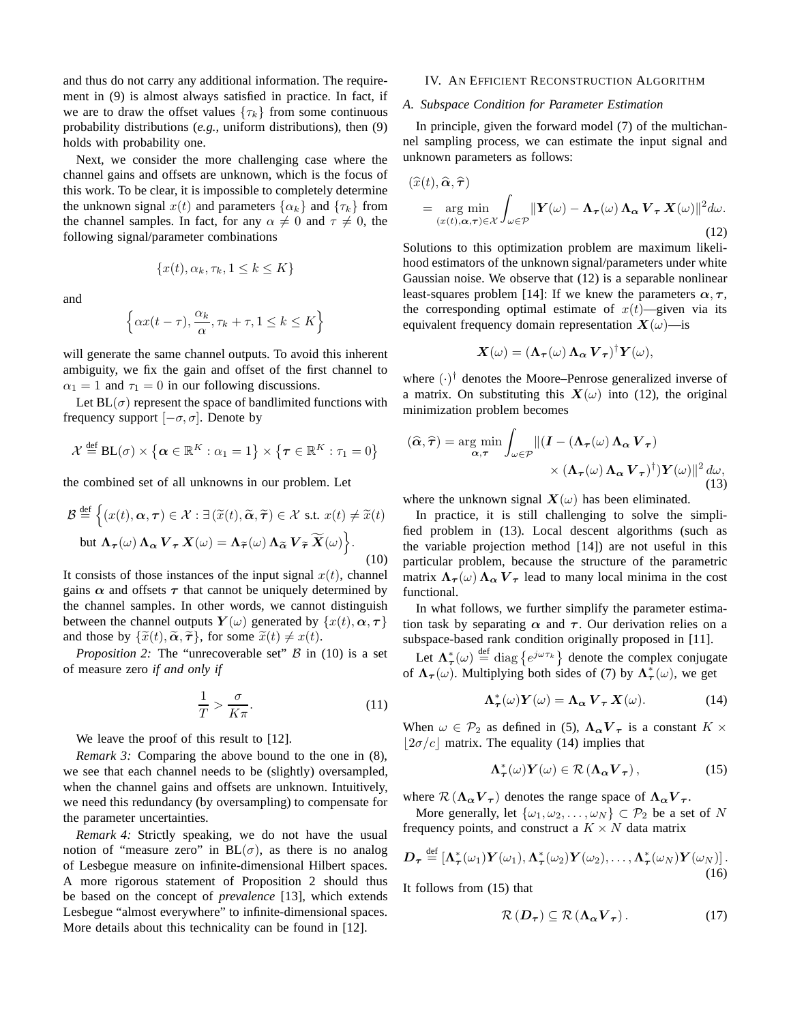and thus do not carry any additional information. The requirement in (9) is almost always satisfied in practice. In fact, if we are to draw the offset values  $\{\tau_k\}$  from some continuous probability distributions (*e.g.*, uniform distributions), then (9) holds with probability one.

Next, we consider the more challenging case where the channel gains and offsets are unknown, which is the focus of this work. To be clear, it is impossible to completely determine the unknown signal  $x(t)$  and parameters  $\{\alpha_k\}$  and  $\{\tau_k\}$  from the channel samples. In fact, for any  $\alpha \neq 0$  and  $\tau \neq 0$ , the following signal/parameter combinations

$$
\{x(t), \alpha_k, \tau_k, 1 \le k \le K\}
$$

and

$$
\left\{\alpha x(t-\tau), \frac{\alpha_k}{\alpha}, \tau_k + \tau, 1 \le k \le K\right\}
$$

will generate the same channel outputs. To avoid this inherent ambiguity, we fix the gain and offset of the first channel to  $\alpha_1 = 1$  and  $\tau_1 = 0$  in our following discussions.

Let  $BL(\sigma)$  represent the space of bandlimited functions with frequency support  $[-\sigma, \sigma]$ . Denote by

$$
\mathcal{X} \stackrel{\text{def}}{=} BL(\sigma) \times \{ \alpha \in \mathbb{R}^K : \alpha_1 = 1 \} \times \{ \tau \in \mathbb{R}^K : \tau_1 = 0 \}
$$

the combined set of all unknowns in our problem. Let

$$
\mathcal{B} \stackrel{\text{def}}{=} \left\{ (x(t), \alpha, \tau) \in \mathcal{X} : \exists (\widetilde{x}(t), \widetilde{\alpha}, \widetilde{\tau}) \in \mathcal{X} \text{ s.t. } x(t) \neq \widetilde{x}(t) \right\}
$$
  
but  $\Lambda_{\tau}(\omega) \Lambda_{\alpha} \mathbf{V}_{\tau} \mathbf{X}(\omega) = \Lambda_{\widetilde{\tau}}(\omega) \Lambda_{\widetilde{\alpha}} \mathbf{V}_{\widetilde{\tau}} \widetilde{\mathbf{X}}(\omega) \right\}.$  (10)

It consists of those instances of the input signal  $x(t)$ , channel gains  $\alpha$  and offsets  $\tau$  that cannot be uniquely determined by the channel samples. In other words, we cannot distinguish between the channel outputs  $Y(\omega)$  generated by  $\{x(t), \alpha, \tau\}$ and those by  $\{\widetilde{x}(t), \widetilde{\boldsymbol{\alpha}}, \widetilde{\boldsymbol{\tau}}\}$ , for some  $\widetilde{x}(t) \neq x(t)$ .

*Proposition 2:* The "unrecoverable set"  $\beta$  in (10) is a set of measure zero *if and only if*

$$
\frac{1}{T} > \frac{\sigma}{K\pi}.\tag{11}
$$

We leave the proof of this result to [12].

*Remark 3:* Comparing the above bound to the one in  $(8)$ , we see that each channel needs to be (slightly) oversampled, when the channel gains and offsets are unknown. Intuitively, we need this redundancy (by oversampling) to compensate for the parameter uncertainties.

*Remark 4:* Strictly speaking, we do not have the usual notion of "measure zero" in  $BL(\sigma)$ , as there is no analog of Lesbegue measure on infinite-dimensional Hilbert spaces. A more rigorous statement of Proposition 2 should thus be based on the concept of *prevalence* [13], which extends Lesbegue "almost everywhere" to infinite-dimensional spaces. More details about this technicality can be found in [12].

#### IV. AN EFFICIENT RECONSTRUCTION ALGORITHM

# *A. Subspace Condition for Parameter Estimation*

In principle, given the forward model (7) of the multichannel sampling process, we can estimate the input signal and unknown parameters as follows:

$$
(\widehat{x}(t), \widehat{\alpha}, \widehat{\tau})
$$
  
= 
$$
\underset{(x(t), \alpha, \tau) \in \mathcal{X}}{\arg \min} \int_{\omega \in \mathcal{P}} ||\mathbf{Y}(\omega) - \mathbf{\Lambda}_{\tau}(\omega) \mathbf{\Lambda}_{\alpha} \mathbf{V}_{\tau} \mathbf{X}(\omega)||^2 d\omega.
$$
 (12)

Solutions to this optimization problem are maximum likelihood estimators of the unknown signal/parameters under white Gaussian noise. We observe that (12) is a separable nonlinear least-squares problem [14]: If we knew the parameters  $\alpha, \tau$ , the corresponding optimal estimate of  $x(t)$ —given via its equivalent frequency domain representation  $X(\omega)$ —is

$$
\mathbf{X}(\omega) = (\mathbf{\Lambda}_{\boldsymbol{\tau}}(\omega) \, \mathbf{\Lambda}_{\boldsymbol{\alpha}} \, \mathbf{V}_{\boldsymbol{\tau}})^{\dagger} \mathbf{Y}(\omega),
$$

where  $(\cdot)^\dagger$  denotes the Moore–Penrose generalized inverse of a matrix. On substituting this  $X(\omega)$  into (12), the original minimization problem becomes

$$
(\widehat{\alpha}, \widehat{\tau}) = \underset{\alpha, \tau}{\arg \min} \int_{\omega \in \mathcal{P}} \left\| (\boldsymbol{I} - (\boldsymbol{\Lambda}_{\tau}(\omega) \, \boldsymbol{\Lambda}_{\alpha} \, \boldsymbol{V}_{\tau}) \times (\boldsymbol{\Lambda}_{\tau}(\omega) \, \boldsymbol{\Lambda}_{\alpha} \, \boldsymbol{V}_{\tau})^{\dagger}) \boldsymbol{Y}(\omega) \right\|^{2} d\omega, \tag{13}
$$

where the unknown signal  $X(\omega)$  has been eliminated.

In practice, it is still challenging to solve the simplified problem in (13). Local descent algorithms (such as the variable projection method [14]) are not useful in this particular problem, because the structure of the parametric matrix  $\Lambda_{\tau}(\omega) \Lambda_{\alpha} V_{\tau}$  lead to many local minima in the cost functional.

In what follows, we further simplify the parameter estimation task by separating  $\alpha$  and  $\tau$ . Our derivation relies on a subspace-based rank condition originally proposed in [11].

Let  $\Lambda^*_{\tau}(\omega) \stackrel{\text{def}}{=} \text{diag}\left\{e^{j\omega\tau_k}\right\}$  denote the complex conjugate of  $\Lambda_{\tau}(\omega)$ . Multiplying both sides of (7) by  $\Lambda_{\tau}^{*}(\omega)$ , we get

$$
\Lambda^*_{\tau}(\omega)Y(\omega) = \Lambda_{\alpha} V_{\tau} X(\omega).
$$
 (14)

When  $\omega \in \mathcal{P}_2$  as defined in (5),  $\Lambda_{\alpha} V_{\tau}$  is a constant  $K \times$  $|2\sigma/c|$  matrix. The equality (14) implies that

$$
\Lambda^*_{\tau}(\omega) Y(\omega) \in \mathcal{R} \left( \Lambda_{\alpha} V_{\tau} \right), \tag{15}
$$

where  $\mathcal{R}(\Lambda_{\alpha}V_{\tau})$  denotes the range space of  $\Lambda_{\alpha}V_{\tau}$ .

More generally, let  $\{\omega_1, \omega_2, \dots, \omega_N\} \subset \mathcal{P}_2$  be a set of N frequency points, and construct a  $K \times N$  data matrix

$$
\boldsymbol{D}_{\boldsymbol{\tau}} \stackrel{\text{def}}{=} [\boldsymbol{\Lambda}_{\boldsymbol{\tau}}^*(\omega_1) \boldsymbol{Y}(\omega_1), \boldsymbol{\Lambda}_{\boldsymbol{\tau}}^*(\omega_2) \boldsymbol{Y}(\omega_2), \dots, \boldsymbol{\Lambda}_{\boldsymbol{\tau}}^*(\omega_N) \boldsymbol{Y}(\omega_N)].
$$
\n(16)

It follows from (15) that

$$
\mathcal{R}\left(\mathbf{D}_{\boldsymbol{\tau}}\right) \subseteq \mathcal{R}\left(\Lambda_{\alpha} \boldsymbol{V}_{\boldsymbol{\tau}}\right). \tag{17}
$$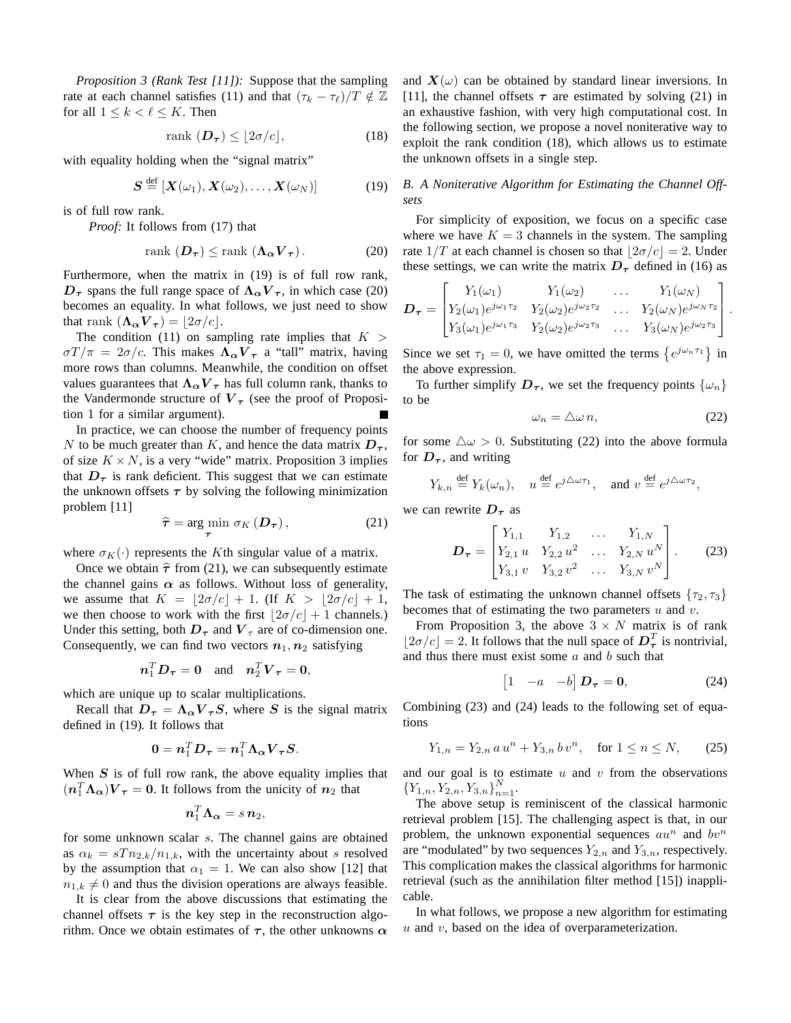*Proposition 3 (Rank Test [11]):* Suppose that the sampling rate at each channel satisfies (11) and that  $(\tau_k - \tau_\ell)/T \notin \mathbb{Z}$ for all  $1 \leq k < \ell \leq K$ . Then

$$
rank\left(\mathbf{D}_{\boldsymbol{\tau}}\right) \leq \lfloor 2\sigma/c \rfloor,\tag{18}
$$

with equality holding when the "signal matrix"

$$
\boldsymbol{S} \stackrel{\text{def}}{=} [\boldsymbol{X}(\omega_1), \boldsymbol{X}(\omega_2), \dots, \boldsymbol{X}(\omega_N)] \tag{19}
$$

is of full row rank.

*Proof:* It follows from (17) that

$$
rank (D_{\tau}) \le rank (\Lambda_{\alpha} V_{\tau}). \tag{20}
$$

Furthermore, when the matrix in (19) is of full row rank,  $D_{\tau}$  spans the full range space of  $\Lambda_{\alpha}V_{\tau}$ , in which case (20) becomes an equality. In what follows, we just need to show that rank  $(\Lambda_{\alpha} V_{\tau}) = |2\sigma/c|$ .

The condition (11) on sampling rate implies that  $K >$  $\sigma T/\pi = 2\sigma/c$ . This makes  $\Lambda_{\alpha}V_{\tau}$  a "tall" matrix, having more rows than columns. Meanwhile, the condition on offset values guarantees that  $\Lambda_{\alpha} V_{\tau}$  has full column rank, thanks to the Vandermonde structure of  $V_{\tau}$  (see the proof of Proposition 1 for a similar argument).

In practice, we can choose the number of frequency points N to be much greater than K, and hence the data matrix  $D_{\tau}$ , of size  $K \times N$ , is a very "wide" matrix. Proposition 3 implies that  $D<sub>\tau</sub>$  is rank deficient. This suggest that we can estimate the unknown offsets  $\tau$  by solving the following minimization problem [11]

$$
\widehat{\tau} = \underset{\tau}{\arg\min} \ \sigma_K\left(D_{\tau}\right),\tag{21}
$$

where  $\sigma_K(\cdot)$  represents the K<sup>th</sup> singular value of a matrix.

Once we obtain  $\hat{\tau}$  from (21), we can subsequently estimate the channel gains  $\alpha$  as follows. Without loss of generality, we assume that  $K = |2\sigma/c| + 1$ . (If  $K > |2\sigma/c| + 1$ , we then choose to work with the first  $|2\sigma/c| + 1$  channels.) Under this setting, both  $D_{\tau}$  and  $V_{\tau}$  are of co-dimension one. Consequently, we can find two vectors  $n_1, n_2$  satisfying

$$
\boldsymbol{n}_1^T \boldsymbol{D}_{\boldsymbol{\tau}} = \boldsymbol{0} \quad \text{and} \quad \boldsymbol{n}_2^T \boldsymbol{V}_{\boldsymbol{\tau}} = \boldsymbol{0},
$$

which are unique up to scalar multiplications.

Recall that  $D_{\tau} = \Lambda_{\alpha} V_{\tau} S$ , where S is the signal matrix defined in (19). It follows that

$$
0 = n_1^T D_\tau = n_1^T \Lambda_\alpha V_\tau S.
$$

When  $S$  is of full row rank, the above equality implies that  $(n_1^T \Lambda_\alpha)V_\tau = 0$ . It follows from the unicity of  $n_2$  that

$$
\boldsymbol{n}_1^T\boldsymbol{\Lambda_{\alpha}}=s\,\boldsymbol{n}_2,
$$

for some unknown scalar s. The channel gains are obtained as  $\alpha_k = sT n_{2,k}/n_{1,k}$ , with the uncertainty about s resolved by the assumption that  $\alpha_1 = 1$ . We can also show [12] that  $n_{1,k} \neq 0$  and thus the division operations are always feasible.

It is clear from the above discussions that estimating the channel offsets  $\tau$  is the key step in the reconstruction algorithm. Once we obtain estimates of  $\tau$ , the other unknowns  $\alpha$  and  $X(\omega)$  can be obtained by standard linear inversions. In [11], the channel offsets  $\tau$  are estimated by solving (21) in an exhaustive fashion, with very high computational cost. In the following section, we propose a novel noniterative way to exploit the rank condition (18), which allows us to estimate the unknown offsets in a single step.

# *B. A Noniterative Algorithm for Estimating the Channel Offsets*

For simplicity of exposition, we focus on a specific case where we have  $K = 3$  channels in the system. The sampling rate  $1/T$  at each channel is chosen so that  $|2\sigma/c| = 2$ . Under these settings, we can write the matrix  $D<sub>\tau</sub>$  defined in (16) as

$$
\mathbf{D}_{\tau} = \begin{bmatrix} Y_1(\omega_1) & Y_1(\omega_2) & \dots & Y_1(\omega_N) \\ Y_2(\omega_1)e^{j\omega_1\tau_2} & Y_2(\omega_2)e^{j\omega_2\tau_2} & \dots & Y_2(\omega_N)e^{j\omega_N\tau_2} \\ Y_3(\omega_1)e^{j\omega_1\tau_3} & Y_2(\omega_2)e^{j\omega_2\tau_3} & \dots & Y_3(\omega_N)e^{j\omega_2\tau_3} \end{bmatrix}.
$$

Since we set  $\tau_1 = 0$ , we have omitted the terms  $\{e^{j\omega_n\tau_1}\}\$ in the above expression.

To further simplify  $D_{\tau}$ , we set the frequency points  $\{\omega_n\}$ to be

$$
\omega_n = \triangle \omega n, \tag{22}
$$

for some  $\Delta \omega > 0$ . Substituting (22) into the above formula for  $D_{\tau}$ , and writing

$$
Y_{k,n} \stackrel{\text{def}}{=} Y_k(\omega_n), \quad u \stackrel{\text{def}}{=} e^{j\Delta\omega\tau_1}, \quad \text{and } v \stackrel{\text{def}}{=} e^{j\Delta\omega\tau_2},
$$

we can rewrite  $D<sub>\tau</sub>$  as

$$
\boldsymbol{D}_{\boldsymbol{\tau}} = \begin{bmatrix} Y_{1,1} & Y_{1,2} & \dots & Y_{1,N} \\ Y_{2,1} u & Y_{2,2} u^2 & \dots & Y_{2,N} u^N \\ Y_{3,1} v & Y_{3,2} v^2 & \dots & Y_{3,N} v^N \end{bmatrix} .
$$
 (23)

The task of estimating the unknown channel offsets  $\{\tau_2, \tau_3\}$ becomes that of estimating the two parameters  $u$  and  $v$ .

From Proposition 3, the above  $3 \times N$  matrix is of rank  $\lfloor 2\sigma/c \rfloor = 2$ . It follows that the null space of  $\mathbf{D}_{\tau}^{T}$  is nontrivial, and thus there must exist some  $a$  and  $b$  such that

$$
\begin{bmatrix} 1 & -a & -b \end{bmatrix} \mathbf{D}_{\boldsymbol{\tau}} = \mathbf{0}, \tag{24}
$$

Combining (23) and (24) leads to the following set of equations

$$
Y_{1,n} = Y_{2,n} a u^n + Y_{3,n} b v^n, \text{ for } 1 \le n \le N, \qquad (25)
$$

and our goal is to estimate  $u$  and  $v$  from the observations  ${Y_{1,n}, Y_{2,n}, Y_{3,n}}_{n=1}^N$ 

The above setup is reminiscent of the classical harmonic retrieval problem [15]. The challenging aspect is that, in our problem, the unknown exponential sequences  $au^n$  and  $bv^n$ are "modulated" by two sequences  $Y_{2,n}$  and  $Y_{3,n}$ , respectively. This complication makes the classical algorithms for harmonic retrieval (such as the annihilation filter method [15]) inapplicable.

In what follows, we propose a new algorithm for estimating  $u$  and  $v$ , based on the idea of overparameterization.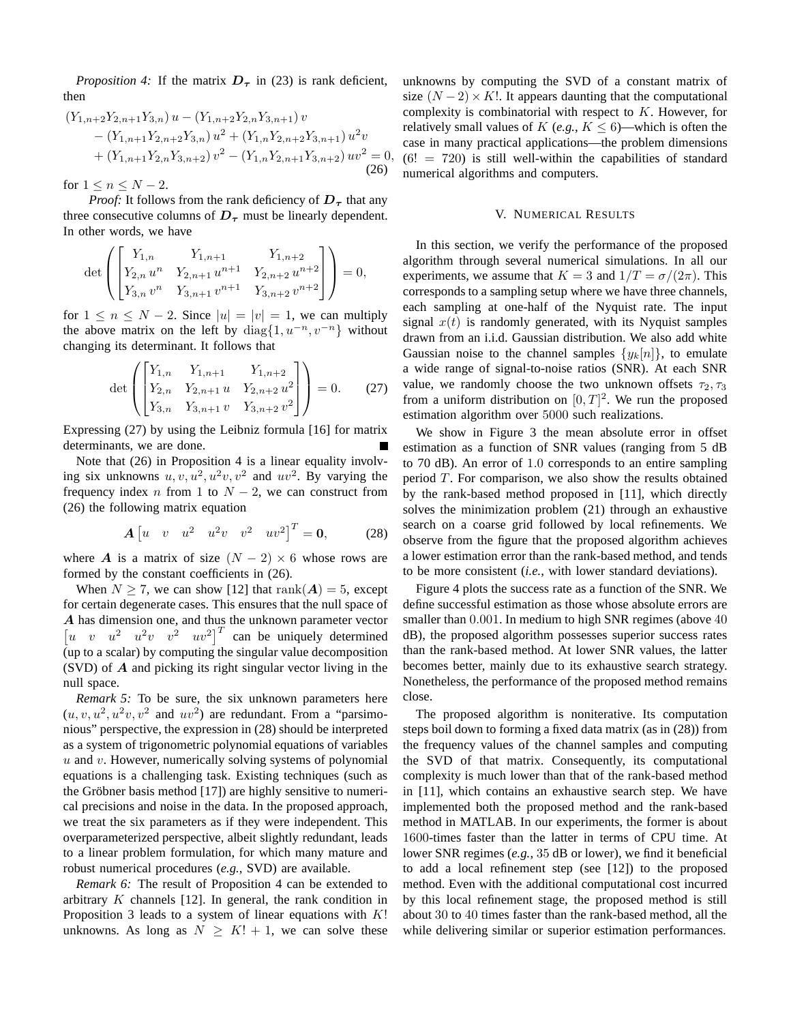*Proposition 4:* If the matrix  $D<sub>\tau</sub>$  in (23) is rank deficient, then

$$
(Y_{1,n+2}Y_{2,n+1}Y_{3,n})u - (Y_{1,n+2}Y_{2,n}Y_{3,n+1})v - (Y_{1,n+1}Y_{2,n+2}Y_{3,n})u^2 + (Y_{1,n}Y_{2,n+2}Y_{3,n+1})u^2v + (Y_{1,n+1}Y_{2,n}Y_{3,n+2})v^2 - (Y_{1,n}Y_{2,n+1}Y_{3,n+2})uv^2 = 0,
$$
\n(26)

for  $1 \leq n \leq N-2$ .

*Proof:* It follows from the rank deficiency of  $D<sub>\tau</sub>$  that any three consecutive columns of  $D<sub>\tau</sub>$  must be linearly dependent. In other words, we have

$$
\det \begin{pmatrix} Y_{1,n} & Y_{1,n+1} & Y_{1,n+2} \\ Y_{2,n} u^n & Y_{2,n+1} u^{n+1} & Y_{2,n+2} u^{n+2} \\ Y_{3,n} v^n & Y_{3,n+1} v^{n+1} & Y_{3,n+2} v^{n+2} \end{pmatrix} = 0,
$$

for  $1 \leq n \leq N-2$ . Since  $|u| = |v| = 1$ , we can multiply the above matrix on the left by diag $\{1, u^{-n}, v^{-n}\}\$  without changing its determinant. It follows that

$$
\det \begin{pmatrix} Y_{1,n} & Y_{1,n+1} & Y_{1,n+2} \\ Y_{2,n} & Y_{2,n+1}u & Y_{2,n+2}u^2 \\ Y_{3,n} & Y_{3,n+1}v & Y_{3,n+2}v^2 \end{pmatrix} = 0.
$$
 (27)

Expressing (27) by using the Leibniz formula [16] for matrix determinants, we are done.

Note that (26) in Proposition 4 is a linear equality involving six unknowns  $u, v, u^2, u^2v, v^2$  and  $uv^2$ . By varying the frequency index n from 1 to  $N-2$ , we can construct from (26) the following matrix equation

$$
\mathbf{A} \begin{bmatrix} u & v & u^2 & u^2v & v^2 & uv^2 \end{bmatrix}^T = \mathbf{0},\tag{28}
$$

where A is a matrix of size  $(N - 2) \times 6$  whose rows are formed by the constant coefficients in (26).

When  $N \ge 7$ , we can show [12] that rank( $A$ ) = 5, except for certain degenerate cases. This ensures that the null space of A has dimension one, and thus the unknown parameter vector  $\begin{bmatrix} u & v & u^2 & u^2v & v^2 & uv^2 \end{bmatrix}^T$  can be uniquely determined (up to a scalar) by computing the singular value decomposition (SVD) of A and picking its right singular vector living in the null space.

*Remark 5:* To be sure, the six unknown parameters here  $(u, v, u^2, u^2v, v^2$  and  $uv^2$ ) are redundant. From a "parsimonious" perspective, the expression in (28) should be interpreted as a system of trigonometric polynomial equations of variables  $u$  and  $v$ . However, numerically solving systems of polynomial equations is a challenging task. Existing techniques (such as the Gröbner basis method  $[17]$ ) are highly sensitive to numerical precisions and noise in the data. In the proposed approach, we treat the six parameters as if they were independent. This overparameterized perspective, albeit slightly redundant, leads to a linear problem formulation, for which many mature and robust numerical procedures (*e.g.*, SVD) are available.

*Remark 6:* The result of Proposition 4 can be extended to arbitrary K channels [12]. In general, the rank condition in Proposition 3 leads to a system of linear equations with  $K!$ unknowns. As long as  $N \geq K! + 1$ , we can solve these

unknowns by computing the SVD of a constant matrix of size  $(N-2) \times K!$ . It appears daunting that the computational complexity is combinatorial with respect to  $K$ . However, for relatively small values of  $K$  (*e.g.*,  $K \leq 6$ )—which is often the case in many practical applications—the problem dimensions  $(6! = 720)$  is still well-within the capabilities of standard numerical algorithms and computers.

# V. NUMERICAL RESULTS

In this section, we verify the performance of the proposed algorithm through several numerical simulations. In all our experiments, we assume that  $K = 3$  and  $1/T = \sigma/(2\pi)$ . This corresponds to a sampling setup where we have three channels, each sampling at one-half of the Nyquist rate. The input signal  $x(t)$  is randomly generated, with its Nyquist samples drawn from an i.i.d. Gaussian distribution. We also add white Gaussian noise to the channel samples  $\{y_k[n]\}$ , to emulate a wide range of signal-to-noise ratios (SNR). At each SNR value, we randomly choose the two unknown offsets  $\tau_2, \tau_3$ from a uniform distribution on  $[0, T]^2$ . We run the proposed estimation algorithm over 5000 such realizations.

We show in Figure 3 the mean absolute error in offset estimation as a function of SNR values (ranging from 5 dB to 70 dB). An error of 1.0 corresponds to an entire sampling period  $T$ . For comparison, we also show the results obtained by the rank-based method proposed in [11], which directly solves the minimization problem (21) through an exhaustive search on a coarse grid followed by local refinements. We observe from the figure that the proposed algorithm achieves a lower estimation error than the rank-based method, and tends to be more consistent (*i.e.*, with lower standard deviations).

Figure 4 plots the success rate as a function of the SNR. We define successful estimation as those whose absolute errors are smaller than 0.001. In medium to high SNR regimes (above 40) dB), the proposed algorithm possesses superior success rates than the rank-based method. At lower SNR values, the latter becomes better, mainly due to its exhaustive search strategy. Nonetheless, the performance of the proposed method remains close.

The proposed algorithm is noniterative. Its computation steps boil down to forming a fixed data matrix (as in (28)) from the frequency values of the channel samples and computing the SVD of that matrix. Consequently, its computational complexity is much lower than that of the rank-based method in [11], which contains an exhaustive search step. We have implemented both the proposed method and the rank-based method in MATLAB. In our experiments, the former is about 1600-times faster than the latter in terms of CPU time. At lower SNR regimes (*e.g.*, 35 dB or lower), we find it beneficial to add a local refinement step (see [12]) to the proposed method. Even with the additional computational cost incurred by this local refinement stage, the proposed method is still about 30 to 40 times faster than the rank-based method, all the while delivering similar or superior estimation performances.